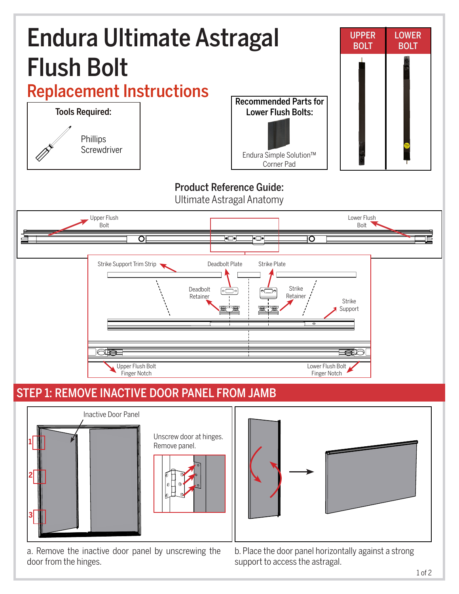

a. Remove the inactive door panel by unscrewing the door from the hinges.

b. Place the door panel horizontally against a strong support to access the astragal.